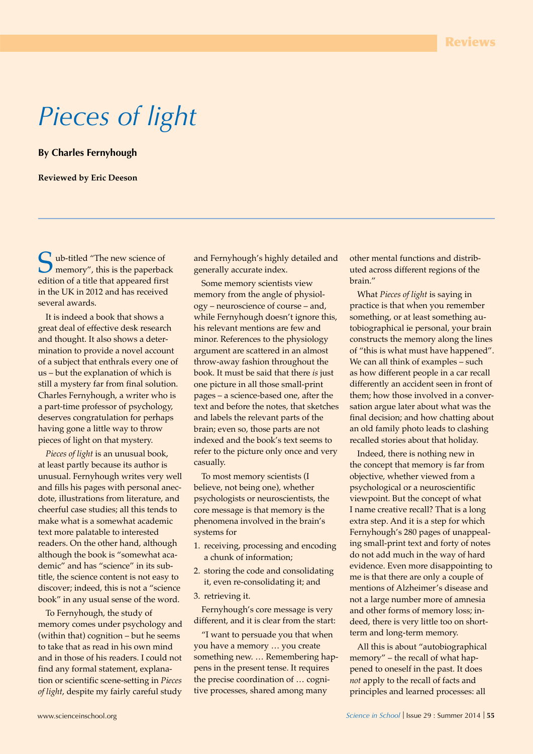# *Pieces of light*

**By Charles Fernyhough**

#### **Reviewed by Eric Deeson**

ub-titled "The new science of memory", this is the paperback edition of a title that appeared first in the UK in 2012 and has received several awards.

It is indeed a book that shows a great deal of effective desk research and thought. It also shows a determination to provide a novel account of a subject that enthrals every one of us – but the explanation of which is still a mystery far from final solution. Charles Fernyhough, a writer who is a part-time professor of psychology, deserves congratulation for perhaps having gone a little way to throw pieces of light on that mystery.

*Pieces of light* is an unusual book, at least partly because its author is unusual. Fernyhough writes very well and fills his pages with personal anecdote, illustrations from literature, and cheerful case studies; all this tends to make what is a somewhat academic text more palatable to interested readers. On the other hand, although although the book is "somewhat academic" and has "science" in its subtitle, the science content is not easy to discover; indeed, this is not a "science book" in any usual sense of the word.

To Fernyhough, the study of memory comes under psychology and (within that) cognition – but he seems to take that as read in his own mind and in those of his readers. I could not find any formal statement, explanation or scientific scene-setting in *Pieces of light*, despite my fairly careful study and Fernyhough's highly detailed and generally accurate index.

Some memory scientists view memory from the angle of physiology – neuroscience of course – and, while Fernyhough doesn't ignore this, his relevant mentions are few and minor. References to the physiology argument are scattered in an almost throw-away fashion throughout the book. It must be said that there *is* just one picture in all those small-print pages – a science-based one, after the text and before the notes, that sketches and labels the relevant parts of the brain; even so, those parts are not indexed and the book's text seems to refer to the picture only once and very casually.

To most memory scientists (I believe, not being one), whether psychologists or neuroscientists, the core message is that memory is the phenomena involved in the brain's systems for

- 1. receiving, processing and encoding a chunk of information;
- 2. storing the code and consolidating it, even re-consolidating it; and
- 3. retrieving it.

Fernyhough's core message is very different, and it is clear from the start:

"I want to persuade you that when you have a memory … you create something new. … Remembering happens in the present tense. It requires the precise coordination of … cognitive processes, shared among many

other mental functions and distributed across different regions of the brain."

What *Pieces of light* is saying in practice is that when you remember something, or at least something autobiographical ie personal, your brain constructs the memory along the lines of "this is what must have happened". We can all think of examples – such as how different people in a car recall differently an accident seen in front of them; how those involved in a conversation argue later about what was the final decision; and how chatting about an old family photo leads to clashing recalled stories about that holiday.

Indeed, there is nothing new in the concept that memory is far from objective, whether viewed from a psychological or a neuroscientific viewpoint. But the concept of what I name creative recall? That is a long extra step. And it is a step for which Fernyhough's 280 pages of unappealing small-print text and forty of notes do not add much in the way of hard evidence. Even more disappointing to me is that there are only a couple of mentions of Alzheimer's disease and not a large number more of amnesia and other forms of memory loss; indeed, there is very little too on shortterm and long-term memory.

All this is about "autobiographical memory" – the recall of what happened to oneself in the past. It does *not* apply to the recall of facts and principles and learned processes: all